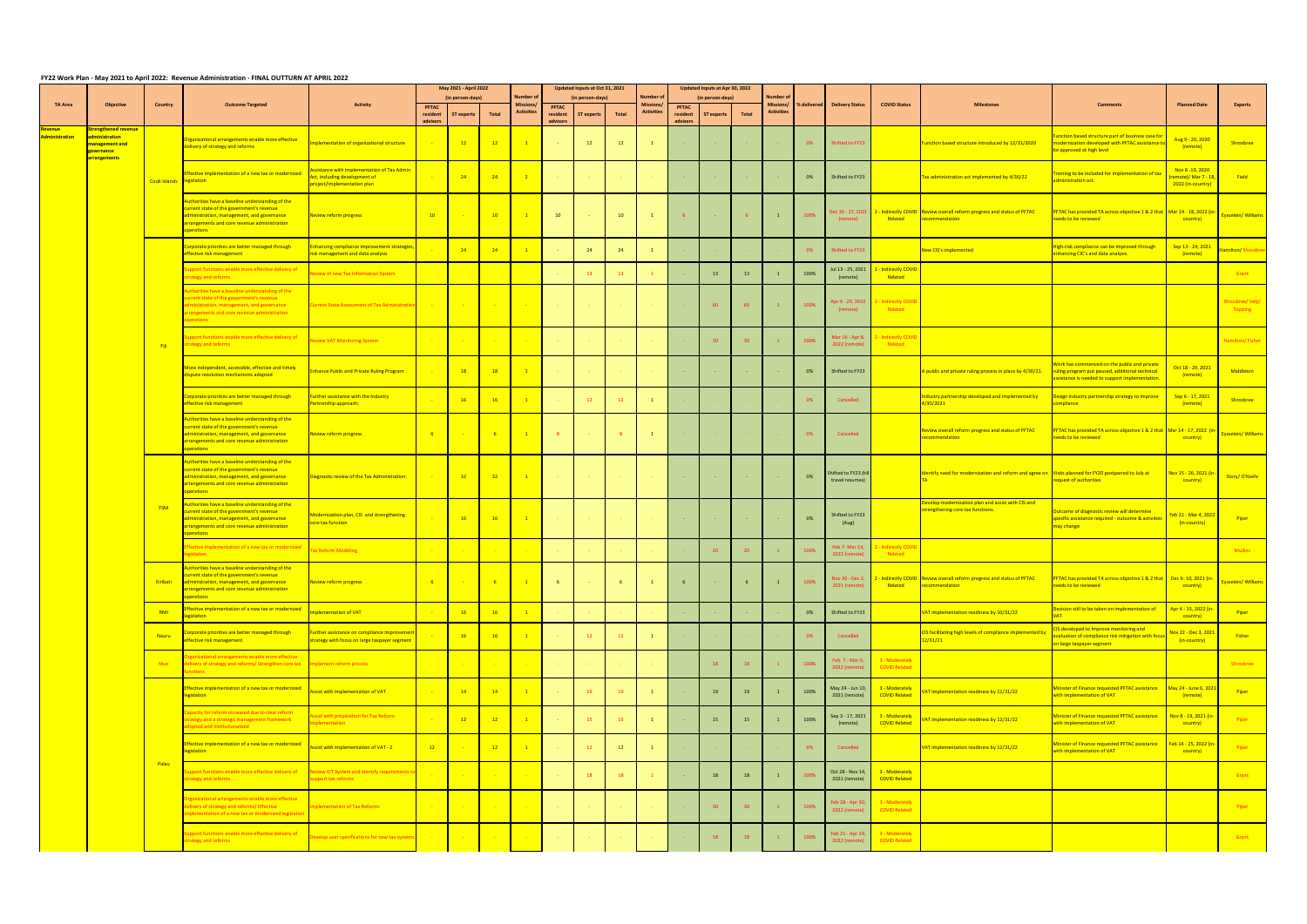## **FY22 Work Plan - May 2021 to April 2022: Revenue Administration - FINAL OUTTURN AT APRIL 2022**

|                                         |                                                                                       |                          |                                                                                                                                                                                                                  |                                                                                                                                                                                                                          |                                      | May 2021 - April 2022<br>(in person-days) |                          | Number of                            |                                      | Updated Inputs at Oct 31, 2021<br>(in person-days) |                    | <b>Number o</b>                      |                                      | Updated Inputs at Apr 30, 2022<br>(in person-days) |                          | <b>Number of</b>                      |             |                                       |                                        |                                                                                                            |                                                                                                                                                    |                                                                           |                                    |
|-----------------------------------------|---------------------------------------------------------------------------------------|--------------------------|------------------------------------------------------------------------------------------------------------------------------------------------------------------------------------------------------------------|--------------------------------------------------------------------------------------------------------------------------------------------------------------------------------------------------------------------------|--------------------------------------|-------------------------------------------|--------------------------|--------------------------------------|--------------------------------------|----------------------------------------------------|--------------------|--------------------------------------|--------------------------------------|----------------------------------------------------|--------------------------|---------------------------------------|-------------|---------------------------------------|----------------------------------------|------------------------------------------------------------------------------------------------------------|----------------------------------------------------------------------------------------------------------------------------------------------------|---------------------------------------------------------------------------|------------------------------------|
| <b>TA Area</b>                          | <b>Objective</b>                                                                      | <b>Country</b>           | <b>Outcome Targeted</b>                                                                                                                                                                                          | <b>Activity</b>                                                                                                                                                                                                          | <b>PFTAC</b><br>resident<br>advisors | <b>ST experts</b>                         | Total                    | <b>Missions</b><br><b>Activities</b> | <b>PFTAC</b><br>resident<br>advisors | <b>ST experts</b>                                  | Total              | <b>Missions</b><br><b>Activities</b> | <b>PFTAC</b><br>resident<br>advisors | <b>ST experts</b>                                  | Total                    | <b>Missions/</b><br><b>Activities</b> | % delivered | <b>Delivery Status</b>                | <b>COVID Status</b>                    | <b>Milestones</b>                                                                                          | <b>Comments</b>                                                                                                                                    | <b>Planned Date</b>                                                       | <b>Experts</b>                     |
| <b>levenue</b><br><b>Administration</b> | Strengthened revenue<br>administration<br>management and<br>overnance<br>arrangements |                          | Organizational arrangements enable more effective<br>delivery of strategy and reforms                                                                                                                            | mplementation of organizational structure                                                                                                                                                                                | <b>Contract Contract</b>             | $\overline{12}$                           | $-12$                    | $\overline{1}$                       |                                      | 12                                                 | 12                 |                                      |                                      |                                                    |                          |                                       | 0%          | Shifted to FY23                       |                                        | Function based structure introduced by 12/31/2020                                                          | Function based structure part of business case fo<br>modernization developed with PFTAC assistance t<br>be approved at high level                  | Aug 9 - 20, 2020<br>(remote)                                              | Shrosbree                          |
|                                         |                                                                                       | Cook Islands legislation | Effective implementation of a new tax or modernized                                                                                                                                                              | ssistance with implementation of Tax Admin<br>Act, including development of<br>project/implementation plan                                                                                                               | <b>Contract Contract</b>             | $-24$                                     | $-24$                    | $\overline{2}$                       |                                      |                                                    |                    |                                      |                                      |                                                    | <b>State State</b>       |                                       | 0%          | Shifted to FY23                       |                                        | Tax administration act implemented by 4/30/22                                                              | Training to be included for implementation of tax<br>dministration act.                                                                            | Nov 8 - 19, 2020<br><mark>(remote)/ Mar 7 - 1</mark><br>2022 (in-country) | Field                              |
|                                         |                                                                                       |                          | Authorities have a baseline understanding of the<br>current state of the government's revenue<br>administration, management, and governance<br>arrangements and core revenue administration<br>operations        | <b>Review reform progress</b>                                                                                                                                                                                            | 10                                   |                                           | $\overline{10}$          | $\overline{1}$                       | 10                                   |                                                    | 10                 |                                      |                                      | <b>Common</b>                                      | $-6$                     |                                       | 100%        | (remote)                              | Related                                | ec 10 - 17, 2021 2 - Indirectly COVID Review overall reform progress and status of PFTAC<br>recommendation | PFTAC has provided TA across objective 1 & 2 that Mar 14 - 18, 2022 (in<br>needs to be reviewed                                                    | country)                                                                  | <b>Eysselein/Williams</b>          |
|                                         |                                                                                       |                          | Corporate priorities are better managed through<br>effective risk management                                                                                                                                     | Inhancing compliance improvement strategies,<br>risk management and data analysis                                                                                                                                        |                                      | 24                                        | 24                       | $\overline{1}$                       |                                      |                                                    |                    |                                      |                                      |                                                    |                          |                                       | 0%          | hifted to FY23                        |                                        | New CIS's implemented                                                                                      | High-risk compliance can be improved through<br>enhancing CIC's and data analysis.                                                                 | Sep 13 - 24, 2021<br>(remote)                                             | <mark>milton/ Shrosbre</mark>      |
|                                         |                                                                                       |                          | upport functions enable more effective delivery of<br>strategy and reforms                                                                                                                                       | eview of new Tax Information System                                                                                                                                                                                      |                                      |                                           |                          |                                      |                                      |                                                    |                    |                                      |                                      | 13                                                 | 13                       |                                       | 100%        | Jul 13 - 25, 2021<br>(remote)         | - Indirectly COVID<br>Related          |                                                                                                            |                                                                                                                                                    |                                                                           | Grant                              |
|                                         |                                                                                       |                          | Authorities have a baseline understanding of the<br>current state of the government's revenue<br>administration, management, and governance<br>arrangements and core revenue administration<br><b>operations</b> | urrent State Assessment of Tax Administration <b>Fig. 1.</b>                                                                                                                                                             |                                      | <b>State State</b>                        | <b>State State</b>       | $\sim 100$ km s $^{-1}$              | <b>Contractor</b>                    | <b>Contractor</b>                                  | <b>Contractor</b>  | <b>Contract Contract</b>             |                                      | 60                                                 | 60                       |                                       | 1 100%      | Apr 4 - 29, 2022<br>(remote)          | 2 - Indirectly COVI<br>Related         |                                                                                                            |                                                                                                                                                    |                                                                           | Shrosbree/Velji/<br><b>Topping</b> |
|                                         |                                                                                       | <b>Fili</b>              | upport functions enable more effective delivery of<br>strategy and reforms                                                                                                                                       | <b>Review VAT Monitoring System</b>                                                                                                                                                                                      |                                      |                                           |                          |                                      |                                      |                                                    |                    |                                      |                                      |                                                    |                          |                                       | 100%        | Mar 16 - Apr 8,<br>2022 (remote)      | Indirectly COV<br>Related              |                                                                                                            |                                                                                                                                                    |                                                                           | Hamilton/Fisher                    |
|                                         |                                                                                       |                          | More independent, accessible, effective and timely<br>dispute resolution mechanisms adopted                                                                                                                      | Inhance Public and Private Ruling Program<br>$\mathcal{L}^{\text{max}}_{\text{max}}$ and $\mathcal{L}^{\text{max}}_{\text{max}}$ and $\mathcal{L}^{\text{max}}_{\text{max}}$ and $\mathcal{L}^{\text{max}}_{\text{max}}$ | <b>State State</b>                   | $^{\circ}$ 18                             | 18                       | $\overline{1}$                       |                                      |                                                    |                    |                                      |                                      |                                                    |                          |                                       | 0%          | Shifted to FY23                       |                                        | A public and private ruling process in place by 4/30/21.                                                   | Work has commenced on the public and private<br>ruling program put paused, additional technical<br>assistance is needed to support implementation. | $\sqrt{$ Oct 18 - 29, 2021<br>(remote)                                    | Middleton                          |
|                                         |                                                                                       |                          | Corporate priorities are better managed through<br>effective risk management                                                                                                                                     | Further assistance with the Industry<br>Partnership approach;                                                                                                                                                            |                                      | 16                                        | 16                       | $\overline{1}$                       |                                      | 12 <sup>7</sup>                                    | 12                 |                                      |                                      |                                                    |                          |                                       | 0%          | Cancelled                             |                                        | Industry partnership developed and implemented by<br>4/30/2021                                             | <b>Design industry partnership strategy to improve</b><br>ompliance                                                                                | Sep 6 - 17, 2021<br>(remote)                                              | Shrosbree                          |
|                                         |                                                                                       |                          | Authorities have a baseline understanding of the<br>current state of the government's revenue<br>administration, management, and governance<br>arrangements and core revenue administration<br>operations        | <b>Review reform progress</b>                                                                                                                                                                                            |                                      |                                           | 67                       | $\overline{1}$                       |                                      |                                                    |                    |                                      |                                      |                                                    |                          |                                       | 0%          | Cancelled                             |                                        | Review overall reform progress and status of PFTAC<br>recommendation                                       | PFTAC has provided TA across objective 1 & 2 that Mar 14 - 17, 2022 (i<br>needs to be reviewed                                                     | country)                                                                  | <b>Eysselein/Williams</b>          |
|                                         |                                                                                       |                          | Authorities have a baseline understanding of the<br>current state of the government's revenue<br>administration, management, and governance<br>arrangements and core revenue administration<br>operations        | Diagnostic review of the Tax Administration.                                                                                                                                                                             | <b>State State</b>                   | $\overline{32}$                           | $-32$                    | $\boxed{1}$                          |                                      |                                                    | <b>State State</b> | <b>Common</b>                        | <b>Common</b>                        | <b>Common</b>                                      | <b>State State</b>       | <b>State State</b>                    | 0%          | hifted to FY23 (ti<br>travel resumes) |                                        | Identify need for modernization and reform and agree on Visits planned for FY20 postponed to July at       | request of authorities                                                                                                                             | Nov 15 - 26, 2021 (i<br>country)                                          | Story/O'Keefe                      |
|                                         |                                                                                       | <b>FSM</b>               | Authorities have a baseline understanding of the<br>current state of the government's revenue<br>administration, management, and governance<br>arrangements and core revenue administration<br>operations        | <b>Modernization plan, CIS and strengthening</b><br>ore tax function                                                                                                                                                     | <b>Contract</b>                      | $\frac{16}{16}$                           | $\overline{16}$          | $\boxed{1}$                          |                                      | <b>Contractor</b>                                  | <b>Contractor</b>  |                                      |                                      | <b>State State</b>                                 | <b>Contract Contract</b> | <b>Contract</b>                       | $0\%$       | Shifted to FY23<br>(Aug)              |                                        | Develop modernization plan and assist with CIS and<br>strengthening core tax functions.                    | Outcome of diagnostic review will determine<br>specific assistance required - outcome & activities<br>may change                                   | Feb 21 - Mar 4, 2022<br>(in-country)                                      | <b>Piper</b>                       |
|                                         |                                                                                       |                          | Effective implementation of a new tax or modernized<br><b>legislation</b>                                                                                                                                        | Tax Reform Modeling                                                                                                                                                                                                      |                                      |                                           |                          |                                      |                                      |                                                    |                    |                                      |                                      |                                                    |                          |                                       | 100%        | Feb 7- Mar 14,<br>2022 (remote        | - Indirectly COV<br>Related            |                                                                                                            |                                                                                                                                                    |                                                                           | <b>Mullins</b>                     |
|                                         |                                                                                       | <b>Kiribati</b>          | Authorities have a baseline understanding of the<br>current state of the government's revenue<br>administration, management, and governance<br>arrangements and core revenue administration<br>operations        | <b>Review reform progress</b>                                                                                                                                                                                            |                                      | <b>Contract Contract</b>                  | $-6$                     | $\overline{1}$                       | - 6                                  |                                                    |                    | $\blacksquare$                       |                                      | <b>Common</b>                                      | 6 <sup>6</sup>           |                                       | 100%        | Nov 30 - Dec 2,<br>2021 (remote)      | Related                                | 2 - Indirectly COVID Review overall reform progress and status of PFTAC<br>recommendation                  | PFTAC has provided TA across objective 1 & 2 that Dec 6-10, 2021 (in<br>needs to be reviewed                                                       | country)                                                                  | <b>Eysselein/Williams</b>          |
|                                         |                                                                                       | <b>RMI</b>               | Effective implementation of a new tax or modernized                                                                                                                                                              | nplementation of VAT                                                                                                                                                                                                     | $\sim$ $\sim$                        | 16                                        | 16                       | $\mathbf{1}$                         |                                      |                                                    |                    |                                      |                                      |                                                    |                          |                                       | 0%          | Shifted to FY23                       |                                        | VAT implementation readiness by 10/31/22                                                                   | Decision still to be taken on implementation of                                                                                                    | Apr 4 - 15, 2022 (in<br>country)                                          | Piper                              |
|                                         |                                                                                       | <b>Nauru</b>             | Corporate priorities are better managed through<br>effective risk management                                                                                                                                     | <b>Further assistance on compliance improvement</b><br>strategy with focus on large taxpayer segment                                                                                                                     |                                      | 16                                        | 16                       | $\overline{1}$                       |                                      | 12 <sup>7</sup>                                    | 12 <sup>2</sup>    |                                      |                                      |                                                    |                          |                                       | 0%          | Cancelled                             |                                        | CIS facilitating high levels of compliance implemented b<br>12/31/21                                       | CIS developed to Improve monitoring and<br>evaluation of compliance risk mitigation with foct<br>on large taxpayer segment                         | Nov 22 - Dec 3, 202:<br>(in-country)                                      | Fisher                             |
|                                         |                                                                                       | <b>Niue</b>              | Organizational arrangements enable more effective<br>delivery of strategy and reforms/ Strengthen core tax Implement reform process<br>nctions                                                                   |                                                                                                                                                                                                                          | <b>State State</b>                   | <b>Contract Contract</b>                  | <b>Contract Contract</b> | <b>State Advised</b>                 |                                      |                                                    |                    |                                      |                                      | 18                                                 | 18                       | $\mathbf{1}$                          | 100%        | Feb 7 - Mar 9,<br>2022 (remote        | 3 - Moderately<br><b>COVID Related</b> |                                                                                                            |                                                                                                                                                    |                                                                           | Shrosbree                          |
|                                         |                                                                                       |                          | <b>Effective implementation of a new tax or modernized</b><br>legislation                                                                                                                                        | ssist with implementation of VAT                                                                                                                                                                                         | <b>State State</b>                   | $\overline{14}$                           | $-14$                    | $\overline{1}$                       | <b>Contact Contact</b>               | 19                                                 | 19                 |                                      | <b>Contract Contract</b>             | 19                                                 |                          |                                       | 100%        | May 24 - Jun 10,<br>2021 (remote)     | 3 - Moderately<br><b>COVID Related</b> | VAT implementation readiness by 12/31/22                                                                   | Minister of Finance requested PFTAC assistance<br>with implementation of VAT                                                                       | May 24 - June 6, 2021<br>(remote)                                         | Piper                              |
|                                         |                                                                                       |                          | Capacity for reform increased due to clear reform<br>strategy and a strategic management framework<br>adopted and institutionalized                                                                              | <b>Sack Solution Service Service Service Service Service Service Service Service Service Service Service Service S</b><br>nplementation                                                                                  | $\sim 10^{-10}$                      | $-12$                                     | $-12$                    | $\overline{1}$                       | <b>Contract Contract</b>             | 15                                                 | 15                 |                                      |                                      | 15                                                 |                          |                                       | 100%        | Sep 3 - 17, 2021<br>(remote)          | 3 - Moderately<br><b>COVID Related</b> | VAT implementation readiness by 12/31/22                                                                   | Minister of Finance requested PFTAC assistance<br>with implementation of VAT                                                                       | Nov 8 - 19, 2021 (in<br><mark>country)</mark>                             | <b>Piper</b>                       |
|                                         |                                                                                       |                          | Effective implementation of a new tax or modernized<br>legislation                                                                                                                                               | ssist with implementation of VAT - 2                                                                                                                                                                                     | 12                                   |                                           | $-12$                    | $\overline{1}$                       |                                      | 12                                                 | 12                 |                                      |                                      |                                                    |                          |                                       | 0%          | Cancelled                             |                                        | VAT implementation readiness by 12/31/22                                                                   | Minister of Finance requested PFTAC assistance<br>with implementation of VAT                                                                       | Feb 14 - 25, 2022 (i<br><mark>country)</mark>                             | <b>Piper</b>                       |
|                                         |                                                                                       | <b>Palau</b>             | upport functions enable more effective delivery of<br>strategy and reforms                                                                                                                                       | <b>Review ICT System and identify requirements t</b><br>upport tax reforms                                                                                                                                               |                                      | <b>Contract Contract</b>                  | <b>Contract Contract</b> | <b>State State</b>                   |                                      | 18                                                 | 18                 |                                      |                                      | 18                                                 |                          |                                       | 100%        | Oct 28 - Nov 14,<br>2021 (remote)     | 3 - Moderately<br><b>COVID Related</b> |                                                                                                            |                                                                                                                                                    |                                                                           | Grant                              |
|                                         |                                                                                       |                          | Organizational arrangements enable more effective<br>delivery of strategy and reforms/ Effective<br>implementation of a new tax or modernized legislatior                                                        | nplementation of Tax Reforms                                                                                                                                                                                             | <b>Contract Contract</b>             | <b>Contract Contract</b>                  | <b>Contract Contract</b> |                                      |                                      |                                                    |                    |                                      |                                      | 30 <sup>2</sup>                                    | 30 <sub>o</sub>          | $\mathbf{1}$                          | 100%        | eb 28 - Apr 30,<br>2022 (remote)      | 3 - Moderately<br><b>COVID Related</b> |                                                                                                            |                                                                                                                                                    |                                                                           | Piper                              |
|                                         |                                                                                       |                          | upport functions enable more effective delivery of<br>strategy and reforms                                                                                                                                       | evelop user specifications for new tax systems                                                                                                                                                                           | <b>Contract Contract</b>             |                                           |                          |                                      |                                      |                                                    |                    |                                      |                                      | 18                                                 | 18                       | $\mathbf{1}$                          | 100%        | Feb 21 - Apr 29,<br>2022 (remote)     | 3 - Moderately<br><b>COVID Related</b> |                                                                                                            |                                                                                                                                                    |                                                                           | Grant                              |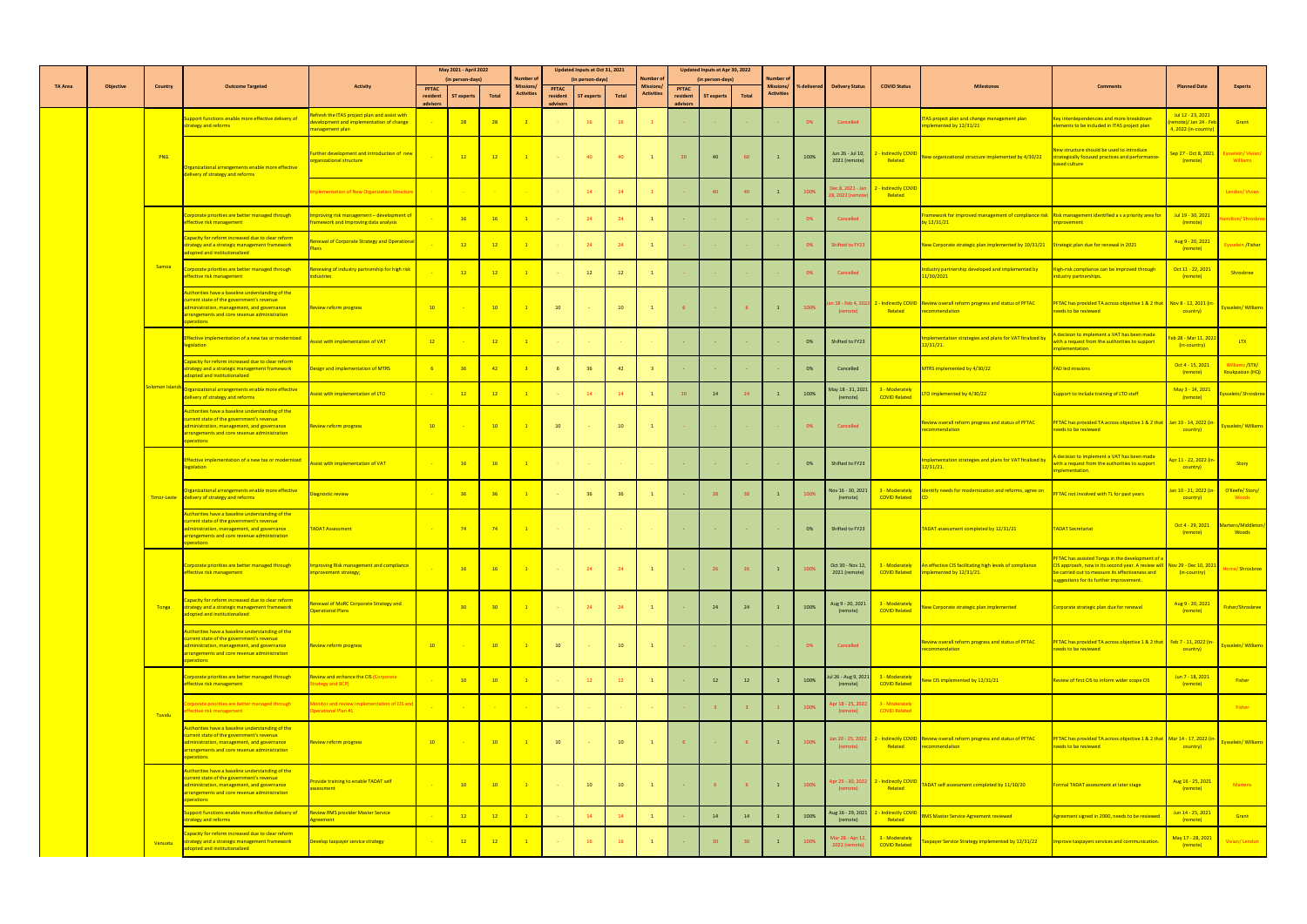|                |           |                |                                                                                                                                                                                                                                    |                                                                                                              |                                     | May 2021 - April 2022<br>(in person-days) |                 | <b>Number of</b>                     |                                      | Updated Inputs at Oct 31, 2021<br>(in person-days) |                   | Number of                      |                                      | Updated Inputs at Apr 30, 2022<br>(in person-days) |                   | <b>Number of</b>               |      |                                    |                                                                    |                                                                                                                       |                                                                                                                                                                                                                             |                                                                                 |                                                           |
|----------------|-----------|----------------|------------------------------------------------------------------------------------------------------------------------------------------------------------------------------------------------------------------------------------|--------------------------------------------------------------------------------------------------------------|-------------------------------------|-------------------------------------------|-----------------|--------------------------------------|--------------------------------------|----------------------------------------------------|-------------------|--------------------------------|--------------------------------------|----------------------------------------------------|-------------------|--------------------------------|------|------------------------------------|--------------------------------------------------------------------|-----------------------------------------------------------------------------------------------------------------------|-----------------------------------------------------------------------------------------------------------------------------------------------------------------------------------------------------------------------------|---------------------------------------------------------------------------------|-----------------------------------------------------------|
| <b>TA Area</b> | Objective | <b>Country</b> | <b>Outcome Targeted</b>                                                                                                                                                                                                            | <b>Activity</b>                                                                                              | <b>PFTAC</b><br>residen<br>advisors | <b>ST experts</b>                         | Total           | <b>Missions</b><br><b>Activities</b> | <b>PFTAC</b><br>resident<br>advisors | <b>ST experts</b>                                  | Total             | Missions/<br><b>Activities</b> | <b>PFTAC</b><br>resident<br>advisors | <b>ST experts</b>                                  | Total             | Missions/<br><b>Activities</b> |      | % delivered Delivery Status        | <b>COVID Status</b>                                                | <b>Milestones</b>                                                                                                     | <b>Comments</b>                                                                                                                                                                                                             | <b>Planned Date</b>                                                             | <b>Experts</b>                                            |
|                |           |                | Support functions enable more effective delivery of<br>strategy and reforms                                                                                                                                                        | Refresh the ITAS project plan and assist with<br>levelopment and implementation of change<br>nanagement plan |                                     | 28                                        | 28              |                                      |                                      |                                                    |                   |                                |                                      |                                                    |                   |                                |      | Cancelled                          |                                                                    | ITAS project plan and change management plan<br>implemented by 12/31/21                                               | <b>Example 20 Figgs Construst Construst Construst</b> Certain Construst Construst Construst Construst Construst Const<br>lements to be included in ITAS project plan                                                        | Jul 12 - 23, 2021<br><mark>(remote)/ Jan 24 - Feb</mark><br>4, 2022 (in-country | Grant                                                     |
|                |           | <b>PNG</b>     | Organizational arrangements enable more effective<br>delivery of strategy and reforms                                                                                                                                              | urther development and introduction of new<br>organizational structure                                       |                                     | $-12$                                     | $-12$           |                                      |                                      | 40                                                 | 40                |                                | 20 <sup>°</sup>                      | 40                                                 | 60                |                                | 100% | Jun 26 - Jul 10,<br>2021 (remote)  | <mark>: - Indirectly COVII</mark><br>Related                       | lew organizational structure implemented by 4/30/22                                                                   | New structure should be used to introduce<br>strategically focused practices and performance-<br>pased culture                                                                                                              | (remote)                                                                        | Sep 27 - Oct 8, 2021 Eysselein/Vivian/<br><b>Williams</b> |
|                |           |                |                                                                                                                                                                                                                                    | mplementation of New Organization Structure                                                                  | <b>Contract Contract</b>            | <b>Contract Contract</b>                  |                 |                                      |                                      | 14                                                 | 14                |                                |                                      |                                                    | 40                |                                | 100% | Dec 8, 2021 - Jan<br>8, 2022 (remo | 2 - Indirectly COVID<br>Related                                    |                                                                                                                       |                                                                                                                                                                                                                             |                                                                                 | Lendon/Vivian                                             |
|                |           |                | Corporate priorities are better managed through<br>effective risk management                                                                                                                                                       | mproving risk management - development of<br><b>Framework and Improving data analysis</b>                    |                                     | $-16$                                     | 16              |                                      |                                      |                                                    |                   |                                |                                      |                                                    |                   |                                |      | Cancelled                          |                                                                    | Framework for improved management of compliance risk Risk management identified as a priority area for<br>by 12/31/21 | nprovement                                                                                                                                                                                                                  | Jul 19 - 30, 2021<br>(remote)                                                   |                                                           |
|                |           |                | Capacity for reform increased due to clear reform<br>strategy and a strategic management framework<br>adopted and institutionalized                                                                                                | enewal of Corporate Strategy and Operational                                                                 |                                     | 12                                        | 12              |                                      |                                      |                                                    |                   |                                |                                      |                                                    |                   |                                |      | Shifted to FY23                    |                                                                    | New Corporate strategic plan implemented by 10/31/21 Strategic plan due for renewal in 2021                           |                                                                                                                                                                                                                             | Aug 9 - 20, 2021<br>(remote)                                                    | Eysselein / Fisher                                        |
|                |           | Samoa          | Corporate priorities are better managed through<br>effective risk management                                                                                                                                                       | enewing of industry partnership for high risk<br>ndustries                                                   |                                     | 12                                        | 12              |                                      |                                      | 12                                                 | 12                |                                |                                      |                                                    |                   |                                |      | Cancelled                          |                                                                    | ndustry partnership developed and implemented by<br>11/30/2021                                                        | High-risk compliance can be improved through<br>ndustry partnerships.                                                                                                                                                       | Oct 11 - 22, 2021<br>(remote)                                                   | Shrosbree                                                 |
|                |           |                | Authorities have a baseline understanding of the<br>current state of the government's revenue<br>administration, management, and governance<br>arrangements and core revenue administration<br>operations                          | Review reform progress                                                                                       | 10                                  | <b>Contract</b>                           | $\overline{10}$ |                                      | 10                                   |                                                    | 10 <sup>°</sup>   |                                |                                      | <b>Contract</b>                                    | $-6$              |                                | 100% | (remote)                           | Related                                                            | n 18 - Feb 4, 2022 2 - Indirectly COVID Review overall reform progress and status of PFTAC<br>recommendation          | PFTAC has provided TA across objective 1 & 2 that Nov 8 - 12, 2021 (in-<br>needs to be reviewed                                                                                                                             | country)                                                                        | Eysselein/Williams                                        |
|                |           |                | Effective implementation of a new tax or modernized<br>legislation                                                                                                                                                                 | ssist with implementation of VAT                                                                             | $-12$                               |                                           | $-12$           |                                      |                                      |                                                    |                   |                                |                                      |                                                    |                   |                                | 0%   | Shifted to FY23                    |                                                                    | Implementation strategies and plans for VAT finalized by<br>12/31/21.                                                 | decision to implement a VAT has been made<br>vith a request from the authorities to support<br>mplementation.                                                                                                               | Feb 28 - Mar 11, 202<br>(in-country)                                            | <b>LTX</b>                                                |
|                |           |                | Capacity for reform increased due to clear reform<br>strategy and a strategic management framework<br>adopted and institutionalized                                                                                                | Design and implementation of MTRS                                                                            |                                     | $-36$                                     | $-42$           |                                      |                                      | 36 <sup>°</sup>                                    | 42                |                                |                                      |                                                    |                   |                                | 0%   | Cancelled                          |                                                                    | MTRS implemented by 4/30/22                                                                                           | <b>FAD led missions</b>                                                                                                                                                                                                     | Oct $4 - 15, 2021$<br>(remote)                                                  | Williams /STX/<br>Koukpaizan (HQ)                         |
|                |           | olomon Island  | Organizational arrangements enable more effective<br>delivery of strategy and reforms                                                                                                                                              | ssist with implementation of LTO                                                                             |                                     | $-12$                                     | $-12$           |                                      |                                      |                                                    |                   |                                |                                      | 14                                                 |                   |                                | 100% | May 18 - 31, 2021<br>(remote)      | 3 - Moderately<br><b>COVID Related</b>                             | TO implemented by 4/30/22                                                                                             | upport to include training of LTO staff                                                                                                                                                                                     | May 3 - 14, 2021<br>(remote)                                                    | vsselein/Shrosbree                                        |
|                |           |                | Authorities have a baseline understanding of the<br>current state of the government's revenue<br>administration, management, and governance<br>arrangements and core revenue administration<br>operations                          | Review reform progress                                                                                       | $\overline{10}$                     |                                           | $\overline{10}$ |                                      | 10                                   |                                                    | 10                | $\mathbf{1}$                   |                                      |                                                    |                   |                                | 0%   | Cancelled                          |                                                                    | Review overall reform progress and status of PFTAC<br>recommendation                                                  | PFTAC has provided TA across objective 1 & 2 that Jan 10 - 14, 2022 (in<br>needs to be reviewed                                                                                                                             | country)                                                                        | Eysselein/Williams                                        |
|                |           |                | Effective implementation of a new tax or modernized<br>legislation                                                                                                                                                                 | ssist with implementation of VAT                                                                             |                                     | 16                                        | $-16$           |                                      |                                      |                                                    |                   |                                |                                      |                                                    | <b>Service</b>    |                                | 0%   | Shifted to FY23                    |                                                                    | mplementation strategies and plans for VAT finalized by<br>12/31/21.                                                  | A decision to implement a VAT has been made<br>with a request from the authorities to support<br>mplementation.                                                                                                             | Apr 11 - 22, 2022 (ir<br>country)                                               | <b>Story</b>                                              |
|                |           |                | Organizational arrangements enable more effective<br>Timor-Leste delivery of strategy and reforms                                                                                                                                  | iagnostic review                                                                                             |                                     | $-36$                                     | $-36$           |                                      |                                      |                                                    |                   |                                |                                      |                                                    |                   |                                |      | Nov 16 - 30, 2021<br>(remote)      | 3 - Moderately<br><b>COVID Related</b>                             | Identify needs for modernization and reforms, agree on                                                                | <b>PFTAC not involved with TL for past years</b>                                                                                                                                                                            | Jan 10 - 21, 2022 (ii<br>country)                                               | O'Keefe/Story/<br><b>Woods</b>                            |
|                |           |                | Authorities have a baseline understanding of the<br>current state of the government's revenue<br>administration, management, and governance<br>arrangements and core revenue administration<br>operations                          | <b>TADAT Assessment</b>                                                                                      |                                     | 74                                        | 74              |                                      | <b>Contact Contact</b>               |                                                    | <b>Contractor</b> |                                | <b>Contractor</b>                    | <b>Contractor</b>                                  | <b>Contractor</b> | <b>Common</b>                  | 0%   | Shifted to FY23                    |                                                                    | TADAT assessment completed by 12/31/21                                                                                | TADAT Secretariat                                                                                                                                                                                                           | $Oct 4 - 29, 2021$<br>(remote)                                                  | Martens/Middleton/<br><b>Woods</b>                        |
|                |           |                | Corporate priorities are better managed through<br>effective risk management                                                                                                                                                       | mproving Risk management and compliance<br>improvement strategy;                                             |                                     | $-16$                                     | $-16$           |                                      | <b>College</b>                       | 24                                                 | 24                | $\mathbf{1}$                   | <b>Common</b>                        | $-26$                                              | 26                | $\mathbf{1}$                   | 100% | Oct 30 - Nov 12,<br>2021 (remote)  | 3 - Moderately<br><b>COVID Related</b>                             | An effective CIS facilitating high levels of compliance<br>$\frac{1}{2}$ implemented by 12/31/21.                     | PFTAC has assisted Tonga in the development of a<br>CIS approach, now in its second year. A review will Nov 29 - Dec 10, 2021<br>be carried out to measure its effectiveness and<br>uggestions for its further improvement. | (in-country)                                                                    | ome/ Shrosbree                                            |
|                |           | Tonga          | Capacity for reform increased due to clear reform<br>strategy and a strategic management framework<br>adopted and institutionalized                                                                                                | enewal of MoRC Corporate Strategy and<br><b>Perational Plans</b>                                             |                                     | 30 <sup>°</sup>                           | $-30$           |                                      |                                      | 24                                                 | 24                | $\overline{1}$                 |                                      | 24                                                 | 24                |                                | 100% | Aug 9 - 20, 2021<br>(remote)       | 3 - Moderately<br><b>COVID Related</b>                             | New Corporate strategic plan implemented                                                                              | corporate strategic plan due for renewal                                                                                                                                                                                    | Aug 9 - 20, 2021<br>(remote)                                                    | Fisher/Shrosbree                                          |
|                |           |                | Authorities have a baseline understanding of the<br>current state of the government's revenue<br>administration, management, and governance<br>arrangements and core revenue administration<br><b>Operations Container Service</b> | Review reform progress                                                                                       | $\overline{10}$                     | <b>State State</b>                        | $\overline{10}$ |                                      | 10                                   |                                                    | 10 <sup>°</sup>   | $\mathbf{1}$                   |                                      |                                                    |                   |                                | 0%   | Cancelled                          |                                                                    | Review overall reform progress and status of PFTAC<br>recommendation                                                  | PFTAC has provided TA across objective 1 & 2 that Feb 7 - 11, 2022 (in-<br>needs to be reviewed                                                                                                                             | country)                                                                        | Eysselein/Williams                                        |
|                |           |                | Corporate priorities are better managed through<br>effective risk management                                                                                                                                                       | Review and enhance the CIS (Corporate<br>trategy and BCP)                                                    |                                     | 10                                        | $-10$           |                                      |                                      | 12 <sup>7</sup>                                    | 12                |                                |                                      | 12                                                 |                   |                                | 100% | ul 26 - Aug 9, 202:<br>(remote)    | 3 - Moderately<br><b>COVID Related</b>                             | New CIS implemented by 12/31/21                                                                                       | Review of first CIS to inform wider scope CIS                                                                                                                                                                               | Jun 7 - 18, 2021<br>(remote)                                                    | <b>Fisher</b>                                             |
|                |           | Tuvalu         | Corporate priorities are better managed through<br>ffective risk management                                                                                                                                                        | lonitor and review implementation of CIS and<br><b>Operational Plan #1</b>                                   |                                     |                                           |                 |                                      |                                      |                                                    |                   |                                |                                      |                                                    |                   |                                | 100% | pr 18 - 25, 2022<br>(remote)       | 3 - Moderately<br><b>COVID Related</b>                             |                                                                                                                       |                                                                                                                                                                                                                             |                                                                                 | <b>Fisher</b>                                             |
|                |           |                | Authorities have a baseline understanding of the<br>current state of the government's revenue<br>administration, management, and governance<br>arrangements and core revenue administration<br>operations                          | Review reform progress                                                                                       | 10                                  | <b>State State</b>                        | $\overline{10}$ |                                      | 10                                   |                                                    | 10 <sup>°</sup>   | $\mathbf{1}$                   |                                      | <b>Contract</b>                                    |                   |                                | 100% | (remote)                           | Related                                                            | an 20 - 25, 2022 2 - Indirectly COVID Review overall reform progress and status of PFTAC<br>recommendation            | PFTAC has provided TA across objective 1 & 2 that Mar 14 - 17, 2022 (in<br>needs to be reviewed                                                                                                                             | country)                                                                        | <b>Eysselein/Williams</b>                                 |
|                |           |                | Authorities have a baseline understanding of the<br>current state of the government's revenue<br>administration, management, and governance<br>arrangements and core revenue administration<br>operations                          | Provide training to enable TADAT self<br>ssessment                                                           |                                     | 10                                        | $-10$           | $\mathbf{1}$                         | <b>Contract</b>                      | 10                                                 | 10                | $\mathbf{1}$                   | <b>Contract Contract</b>             | $-6$                                               | $-6$              |                                | 100% | (remote)                           | Apr 25 - 30, 2022 2 <mark>- 2 - Indirectly COVID</mark><br>Related | TADAT self assessment completed by 11/30/20                                                                           | ormal TADAT assessment at later stage                                                                                                                                                                                       | Aug 16 - 25, 2021<br>(remote)                                                   | <b>Martens</b>                                            |
|                |           |                | Support functions enable more effective delivery of<br>strategy and reforms                                                                                                                                                        | eview RMS provider Master Service<br><mark>\greement</mark>                                                  |                                     | 12                                        | $-12$           |                                      |                                      | 14                                                 | 14                | $\blacksquare$                 |                                      | 14                                                 | 14                |                                | 100% | Aug 16 - 29, 2021<br>(remote)      | <mark>: - Indirectly COVID</mark><br>Related                       | <b>RMS Master Service Agreement reviewed</b>                                                                          | Agreement signed in 2000, needs to be reviewed                                                                                                                                                                              | Jun 14 - 25, 2021<br>(remote)                                                   | Grant                                                     |
|                |           | Vanuatu        | Capacity for reform increased due to clear reform<br>strategy and a strategic management framework<br>adopted and institutionalized                                                                                                | Develop taxpayer service strategy                                                                            |                                     | 12                                        | 12              |                                      | <b>Contract Contract</b>             | 16                                                 | 16                |                                |                                      | 30 <sup>°</sup>                                    | 30 <sup>°</sup>   |                                | 100% | Mar 28 - Apr 12<br>2022 (remote    | 3 - Moderately<br><b>COVID Related</b>                             | Faxpayer Service Strategy implemented by 12/31/22                                                                     | mprove taxpayers services and communication.                                                                                                                                                                                | May 17 - 28, 2021<br><mark>(remote)</mark>                                      | Vivian/Lendon                                             |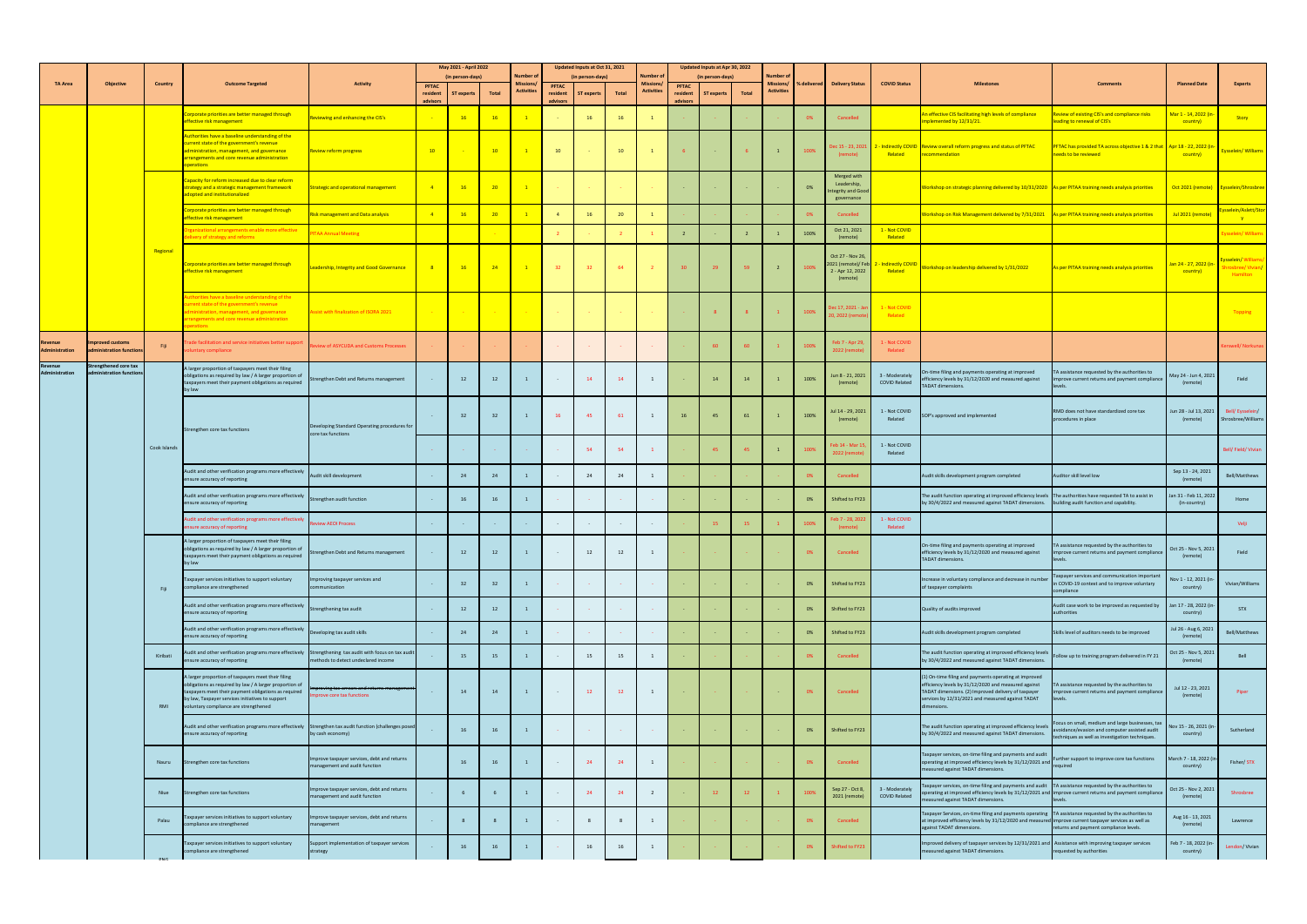|                                  |                                                  |              |                                                                                                                                                                                                                                                                                                                     |                                                                              |                                      | May 2021 - April 2022<br>(in person-days) |                 | <b>Number of</b>                     |                                      | Updated Inputs at Oct 31, 2021<br>(in person-days) |                   | <b>Number of</b>                     |                                      | Updated Inputs at Apr 30, 2022<br>(in person-days) |                         | <b>Number of</b>               |                                      |                                                                      |                                        |                                                                                                                                                                                                                                                          |                                                                                                                                                      |                                                      |                                                            |
|----------------------------------|--------------------------------------------------|--------------|---------------------------------------------------------------------------------------------------------------------------------------------------------------------------------------------------------------------------------------------------------------------------------------------------------------------|------------------------------------------------------------------------------|--------------------------------------|-------------------------------------------|-----------------|--------------------------------------|--------------------------------------|----------------------------------------------------|-------------------|--------------------------------------|--------------------------------------|----------------------------------------------------|-------------------------|--------------------------------|--------------------------------------|----------------------------------------------------------------------|----------------------------------------|----------------------------------------------------------------------------------------------------------------------------------------------------------------------------------------------------------------------------------------------------------|------------------------------------------------------------------------------------------------------------------------------------------------------|------------------------------------------------------|------------------------------------------------------------|
| <b>TA Area</b>                   | Objective                                        | Country      | <b>Outcome Targeted</b>                                                                                                                                                                                                                                                                                             | <b>Activity</b>                                                              | <b>PFTAC</b><br>resident<br>advisors | <b>ST experts</b>                         | Total           | <b>Missions</b><br><b>Activities</b> | <b>PFTAC</b><br>resident<br>advisors | <b>ST experts</b>                                  | Total             | <b>Missions</b><br><b>Activities</b> | <b>PFTAC</b><br>resident<br>advisors | <b>ST experts</b>                                  | Total                   | Missions/<br><b>Activities</b> | <b><i><u>&amp; delivered</u></i></b> | <b>Delivery Status</b>                                               | <b>COVID Status</b>                    | <b>Milestones</b>                                                                                                                                                                                                                                        | <b>Comments</b>                                                                                                                                      | <b>Planned Date</b>                                  | <b>Experts</b>                                             |
|                                  |                                                  |              | Corporate priorities are better managed through<br>effective risk management                                                                                                                                                                                                                                        | eviewing and enhancing the CIS's                                             |                                      | 16                                        | 16              |                                      |                                      | 16                                                 | 16                |                                      |                                      |                                                    |                         |                                |                                      | Cancelled                                                            |                                        | An effective CIS facilitating high levels of compliance<br>implemented by 12/31/21.                                                                                                                                                                      | Review of existing CIS's and compliance risks<br>eading to renewal of CIS's                                                                          | Mar 1 - 14, 2022 (ir<br>country)                     | <b>Story</b>                                               |
|                                  |                                                  |              | Authorities have a baseline understanding of the<br>current state of the government's revenue<br>administration, management, and governance<br>arrangements and core revenue administration<br>operations                                                                                                           | Review reform progress                                                       | 10 <sup>°</sup>                      |                                           | 10              |                                      | 10                                   |                                                    | 10                | $\mathbf{1}$                         |                                      | <b>Contract</b>                                    |                         |                                | 100%                                 | (remote)                                                             | Related                                | Dec 15 - 23, 2021 2 - Indirectly COVID Review overall reform progress and status of PFTAC<br>recommendation                                                                                                                                              | PFTAC has provided TA across objective 1 & 2 that Apr 18 - 22, 2022 (in<br>needs to be reviewed                                                      | country)                                             | <b>Eysselein/Williams</b>                                  |
|                                  |                                                  |              | Capacity for reform increased due to clear reform<br>strategy and a strategic management framework<br>adopted and institutionalized                                                                                                                                                                                 | Strategic and operational management                                         |                                      | 16                                        | 20 <sup>2</sup> |                                      |                                      |                                                    | <b>Common</b>     |                                      |                                      |                                                    | $\sim 100$ km s $^{-1}$ |                                | 0%                                   | Merged with<br>Leadership,<br>tegrity and Goor<br>governance         |                                        | Workshop on strategic planning delivered by 10/31/2020 As per PITAA training needs analysis priorities                                                                                                                                                   |                                                                                                                                                      | Oct 2021 (remote) Eysselein/Shrosbree                |                                                            |
|                                  |                                                  |              | Corporate priorities are better managed through<br>effective risk management                                                                                                                                                                                                                                        | Risk management and Data analysis                                            |                                      | 16                                        | 20 <sup>2</sup> |                                      |                                      | <b>16</b>                                          | 20                |                                      |                                      |                                                    |                         |                                |                                      | Cancelled                                                            |                                        | Workshop on Risk Management delivered by 7/31/2021 As per PITAA training needs analysis priorities                                                                                                                                                       |                                                                                                                                                      | Jul 2021 (remote)                                    | elein/Aslett/S                                             |
|                                  |                                                  |              | Organizational arrangements enable more effective<br>delivery of strategy and reforms                                                                                                                                                                                                                               | <b>ITAA Annual Meeting</b>                                                   |                                      |                                           |                 |                                      |                                      |                                                    |                   | $\blacksquare$ 1                     |                                      |                                                    |                         |                                | 100%                                 | Oct 21, 2021<br>(remote)                                             | 1 - Not COVID<br>Related               |                                                                                                                                                                                                                                                          |                                                                                                                                                      |                                                      | Eysselein/ William                                         |
|                                  |                                                  | Regional     | Corporate priorities are better managed through<br>effective risk management                                                                                                                                                                                                                                        | eadership, Integrity and Good Governance                                     |                                      | $-16$                                     | $-24$           | $-1$                                 | 32 <sup>2</sup>                      | 32 <sup>2</sup>                                    | 64                | $\sim$ 2                             | 30 <sup>2</sup>                      | 29                                                 | 59                      |                                | 100%                                 | Oct 27 - Nov 26,<br>021 (remote)/ Fe<br>2 - Apr 12, 2022<br>(remote) | Indirectly COVID<br>Related            | Workshop on leadership delivered by 1/31/2022                                                                                                                                                                                                            | As per PITAA training needs analysis priorities                                                                                                      | Jan 24 - 27, 2022 (ir<br>country)                    | Eysselein/Williams/<br>nrosbree/Vivian/<br><b>Hamilton</b> |
|                                  |                                                  |              | Authorities have a baseline understanding of the<br>current state of the government's revenue<br>administration, management, and governance<br>arrangements and core revenue administration<br><b>perations</b> and the contract of the contract of the contract of the contract of the contract of the contract of | ssist with finalization of ISORA 2021                                        |                                      | <b>Contract Contract</b>                  |                 | <b>Contract Contract</b>             | <b>Contractor</b>                    | <b>Contract Contract</b>                           | <b>Contractor</b> | <b>Contractor</b>                    |                                      |                                                    |                         |                                | 100%                                 | Dec 17, 2021 - Jai<br>20, 2022 (remo <sup>-</sup>                    | 1 - Not COVID<br>Related               |                                                                                                                                                                                                                                                          |                                                                                                                                                      |                                                      | <b>Topping</b>                                             |
| Revenue<br><b>Administration</b> | nproved customs<br>dministration functions       | Fiji         | ade facilitation and service initiatives better support<br>untary compliance                                                                                                                                                                                                                                        | eview of ASYCUDA and Customs Processes                                       |                                      |                                           |                 |                                      |                                      |                                                    |                   |                                      |                                      | 60                                                 | 60                      |                                | 100%                                 | Feb 7 - Apr 29,<br>2022 (remot                                       | 1 - Not COVID<br>Related               |                                                                                                                                                                                                                                                          |                                                                                                                                                      |                                                      | <b>Serswell/ Norkunas</b>                                  |
| Revenue<br>Administration        | trengthened core tax<br>administration functions |              | A larger proportion of taxpayers meet their filing<br>obligations as required by law / A larger proportion o<br>taxpayers meet their payment obligations as required<br>by law                                                                                                                                      | trengthen Debt and Returns management                                        |                                      | 12                                        | 12              |                                      |                                      | 14                                                 | 14                |                                      |                                      | 14                                                 | 14                      |                                | 100%                                 | Jun 8 - 21, 2021<br>(remote)                                         | 3 - Moderately<br><b>COVID Related</b> | On-time filing and payments operating at improved<br>efficiency levels by 31/12/2020 and measured against<br><b>TADAT dimensions.</b>                                                                                                                    | TA assistance requested by the authorities to<br>nprove current returns and payment compliance<br>levels.                                            | May 24 - Jun 4, 2021<br>(remote)                     | Field                                                      |
|                                  |                                                  |              | Strengthen core tax functions                                                                                                                                                                                                                                                                                       | Developing Standard Operating procedures for<br>core tax functions           |                                      | 32                                        | 32              |                                      | 16                                   | 45                                                 | 61                |                                      | 16                                   | 45                                                 | 61                      |                                | 100%                                 | Jul 14 - 29, 2021<br>(remote)                                        | L - Not COVID<br>Related               | SOP's approved and implemented                                                                                                                                                                                                                           | RMD does not have standardized core tax<br>procedures in place                                                                                       | Jun 28 - Jul 13, 2021   Bell/ Eysselein/<br>(remote) | Shrosbree/Williams                                         |
|                                  |                                                  | Cook Islands |                                                                                                                                                                                                                                                                                                                     |                                                                              |                                      |                                           |                 |                                      |                                      | 54                                                 | 54                |                                      |                                      |                                                    | -45                     |                                | 100%                                 | Feb 14 - Mar 15<br>2022 (remot                                       | 1 - Not COVID<br>Related               |                                                                                                                                                                                                                                                          |                                                                                                                                                      |                                                      | Bell/Field/Vivian                                          |
|                                  |                                                  |              | Audit and other verification programs more effectively<br>ensure accuracy of reporting                                                                                                                                                                                                                              | Audit skill development                                                      |                                      |                                           | 24              |                                      |                                      |                                                    |                   |                                      |                                      |                                                    |                         |                                |                                      | Cancelled                                                            |                                        | Audit skills development program completed                                                                                                                                                                                                               | Auditor skill level low                                                                                                                              | Sep 13 - 24, 2021<br>(remote)                        | Bell/Matthews                                              |
|                                  |                                                  |              | Audit and other verification programs more effectively<br>ensure accuracy of reporting                                                                                                                                                                                                                              | trengthen audit function                                                     |                                      |                                           | 16              |                                      |                                      |                                                    |                   |                                      |                                      |                                                    |                         |                                | 0%                                   | Shifted to FY23                                                      |                                        | The audit function operating at improved efficiency levels The authorities have requested TA to assist in<br>by 30/4/2022 and measured against TADAT dimensions.                                                                                         | building audit function and capability.                                                                                                              | Jan 31 - Feb 11, 2022<br>(in-country)                | Home                                                       |
|                                  |                                                  |              | Audit and other verification programs more effectively<br>ensure accuracy of reporting                                                                                                                                                                                                                              | eview AEOI Process                                                           |                                      |                                           |                 |                                      |                                      |                                                    |                   |                                      |                                      |                                                    |                         |                                |                                      | Feb 7 - 28, 2022                                                     | 1 - Not COVID<br>Related               |                                                                                                                                                                                                                                                          |                                                                                                                                                      |                                                      | Velji                                                      |
|                                  |                                                  |              | A larger proportion of taxpayers meet their filing<br>obligations as required by law / A larger proportion of<br>taxpayers meet their payment obligations as required                                                                                                                                               | trengthen Debt and Returns management                                        |                                      | <sup>12</sup>                             | 12              |                                      |                                      | 12                                                 | 12                |                                      |                                      |                                                    |                         |                                |                                      | Cancelled                                                            |                                        | On-time filing and payments operating at improved<br>efficiency levels by 31/12/2020 and measured against<br>TADAT dimensions.                                                                                                                           | TA assistance requested by the authorities to<br>mprove current returns and payment compliance<br>levels.                                            | Oct 25 - Nov 5, 2021<br>(remote)                     | Field                                                      |
|                                  |                                                  | Fiji         | Taxpayer services initiatives to support voluntary<br>ompliance are strengthened                                                                                                                                                                                                                                    | Improving taxpayer services and<br>communication                             |                                      | -32                                       | 32              |                                      |                                      |                                                    |                   |                                      |                                      |                                                    |                         |                                | 0%                                   | Shifted to FY23                                                      |                                        | Increase in voluntary compliance and decrease in numbe<br>of taxpayer complaints                                                                                                                                                                         | axpayer services and communication important<br>in COVID-19 context and to improve voluntary<br>compliance                                           | Nov 1 - 12, 2021 (in<br>country)                     | Vivian/Williams                                            |
|                                  |                                                  |              | Audit and other verification programs more effectively<br>nsure accuracy of reporting                                                                                                                                                                                                                               | Strengthening tax audit                                                      |                                      | 12                                        | 12              |                                      |                                      |                                                    |                   |                                      |                                      |                                                    |                         |                                | 0%                                   | Shifted to FY23                                                      |                                        | Quality of audits improved                                                                                                                                                                                                                               | Audit case work to be improved as requested by<br>authorities                                                                                        | Jan 17 - 28, 2022 (ii<br>country)                    | <b>STX</b>                                                 |
|                                  |                                                  |              | Audit and other verification programs more effectively<br>ensure accuracy of reporting                                                                                                                                                                                                                              | Developing tax audit skills                                                  |                                      | -24                                       | 24              |                                      |                                      |                                                    |                   | <b>Contract</b>                      |                                      |                                                    |                         |                                | 0%                                   | Shifted to FY23                                                      |                                        | Audit skills development program completed                                                                                                                                                                                                               | Skills level of auditors needs to be improved                                                                                                        | Jul 26 - Aug 6, 2021<br>(remote)                     | Bell/Matthews                                              |
|                                  |                                                  | Kiribati     | Audit and other verification programs more effectively Strengthening tax audit with focus on tax audit<br>nsure accuracy of reporting                                                                                                                                                                               | nethods to detect undeclared income                                          |                                      | 15                                        | 15              |                                      |                                      | 15                                                 | 15                |                                      |                                      |                                                    |                         |                                |                                      |                                                                      |                                        | The audit function operating at improved efficiency levels Follow up to training program delivered in FY 21<br>by 30/4/2022 and measured against TADAT dimensions.                                                                                       |                                                                                                                                                      | Oct 25 - Nov 5, 2021<br>(remote)                     | Bell                                                       |
|                                  |                                                  | RMI          | A larger proportion of taxpayers meet their filing<br>obligations as required by law / A larger proportion of<br>taxpayers meet their payment obligations as required<br>by law, Taxpayer services initiatives to support<br>voluntary compliance are strengthened                                                  | aproving tax arrears and returns management<br>nprove core tax functions     |                                      | 14                                        | 14              |                                      | $\sim 100$ km s $^{-1}$              | 12                                                 | 12                | $\overline{1}$                       | $\sim 100$ km s $^{-1}$              |                                                    |                         |                                | 0%                                   | Cancelled                                                            |                                        | (1) On-time filing and payments operating at improved<br>efficiency levels by 31/12/2020 and measured against<br>TADAT dimensions. (2) Improved delivery of taxpayer<br>services by 12/31/2021 and measured against TADAT<br>dimensions.                 | TA assistance requested by the authorities to<br>mprove current returns and payment compliance<br>levels.                                            | Jul 12 - 23, 2021<br>(remote)                        | Piper                                                      |
|                                  |                                                  |              | Audit and other verification programs more effectively Strengthen tax audit function (challenges posed<br>ensure accuracy of reporting                                                                                                                                                                              | by cash economy)                                                             |                                      | 16                                        | 16              |                                      | <b>Contractor</b>                    | <b>Contractor</b>                                  | <b>Common</b>     | <b>Contractor</b>                    |                                      | <b>Common</b>                                      | <b>State State</b>      |                                | 0%                                   | Shifted to FY23                                                      |                                        | The audit function operating at improved efficiency levels<br>by 30/4/2022 and measured against TADAT dimensions                                                                                                                                         | Focus on small, medium and large businesses, tax<br>avoidance/evasion and computer assisted audit<br>techniques as well as investigation techniques. | Nov 15 - 26, 2021 (in-<br>country)                   | Sutherland                                                 |
|                                  |                                                  | Nauru        | Strengthen core tax functions                                                                                                                                                                                                                                                                                       | Improve taxpayer services, debt and returns<br>management and audit function |                                      | 16                                        | 16              |                                      | <b>Contractor</b>                    | 24                                                 | 24                | $\overline{1}$                       |                                      |                                                    |                         |                                | 0%                                   | Cancelled                                                            |                                        | Taxpayer services, on-time filing and payments and audit<br>operating at improved efficiency levels by 31/12/2021 and<br>measured against TADAT dimensions.                                                                                              | Further support to improve core tax functions<br>required                                                                                            | March 7 - 18, 2022 (in<br>country)                   | Fisher/STX                                                 |
|                                  |                                                  | Niue         | Strengthen core tax functions                                                                                                                                                                                                                                                                                       | Improve taxpayer services, debt and returns<br>management and audit function |                                      |                                           |                 |                                      |                                      | 24                                                 | 24                |                                      |                                      | 12 <sup>7</sup>                                    | 12                      |                                |                                      | Sep 27 - Oct 8,<br>2021 (remote)                                     | 3 - Moderately<br><b>COVID Related</b> | Taxpayer services, on-time filing and payments and audit TA assistance requested by the authorities to<br>operating at improved efficiency levels by 31/12/2021 and improve current returns and payment compliance<br>measured against TADAT dimensions. |                                                                                                                                                      | Oct 25 - Nov 2, 2021<br>(remote)                     | Shrosbree                                                  |
|                                  |                                                  | Palau        | Taxpayer services initiatives to support voluntary<br>compliance are strengthened                                                                                                                                                                                                                                   | Improve taxpayer services, debt and returns<br>management                    |                                      |                                           |                 |                                      |                                      |                                                    |                   |                                      |                                      |                                                    |                         |                                | በ%                                   | Cancelled                                                            |                                        | Taxpayer Services, on-time filing and payments operating<br>at improved efficiency levels by 31/12/2020 and measured improve current taxpayer services as well as<br>against TADAT dimensions.                                                           | TA assistance requested by the authorities to<br>returns and payment compliance levels.                                                              | Aug 16 - 13, 2021<br>(remote)                        | Lawrence                                                   |
|                                  |                                                  |              | Taxpayer services initiatives to support voluntary<br>compliance are strengthened                                                                                                                                                                                                                                   | Support implementation of taxpayer services<br>strategy                      |                                      | <sup>16</sup>                             | 16              |                                      | <b>Contract Contract</b>             | 16                                                 |                   |                                      |                                      |                                                    |                         |                                | 0%                                   | Shifted to FY23                                                      |                                        | Improved delivery of taxpayer services by 12/31/2021 and Assistance with improving taxpayer services<br>measured against TADAT dimensions.                                                                                                               | requested by authorities                                                                                                                             | Feb 7 - 18, 2022 (in<br>country)                     | Lendon/Vivian                                              |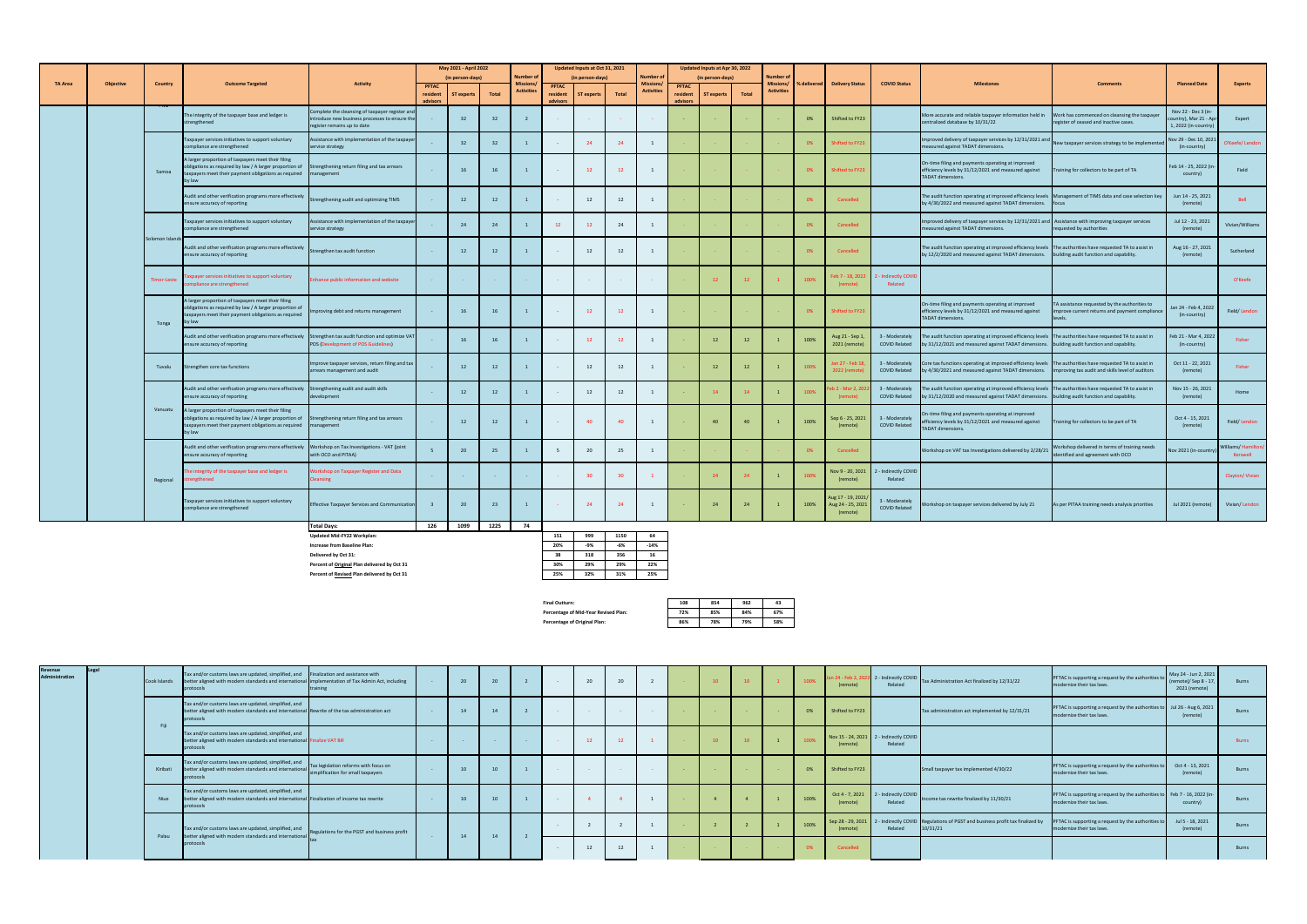|                |                  |                 |                                                                                                                                                                                                                                       |                                                                                                                                  |                      | May 2021 - April 2022 |              |                             |                          | Updated Inputs at Oct 31, 2021 |       |                             |                      | Updated Inputs at Apr 30, 2022 |                 |                               |               |                                                    |                                                  |                                                                                                                                                                                                           |                                                                                                           |                                                                      |                                |
|----------------|------------------|-----------------|---------------------------------------------------------------------------------------------------------------------------------------------------------------------------------------------------------------------------------------|----------------------------------------------------------------------------------------------------------------------------------|----------------------|-----------------------|--------------|-----------------------------|--------------------------|--------------------------------|-------|-----------------------------|----------------------|--------------------------------|-----------------|-------------------------------|---------------|----------------------------------------------------|--------------------------------------------------|-----------------------------------------------------------------------------------------------------------------------------------------------------------------------------------------------------------|-----------------------------------------------------------------------------------------------------------|----------------------------------------------------------------------|--------------------------------|
| <b>TA Area</b> | <b>Objective</b> | Country         | <b>Outcome Targeted</b>                                                                                                                                                                                                               | <b>Activity</b>                                                                                                                  | <b>PFTAC</b>         | (in person-days)      |              | Number o<br><b>Missions</b> | <b>PFTAC</b>             | (in person-days)               |       | Number o<br><b>Missions</b> | <b>PFTAC</b>         | (in person-days)               |                 | <b>Number of</b><br>Missions/ | ا delivered l | <b>Delivery Status</b>                             | <b>COVID Status</b>                              | <b>Milestones</b>                                                                                                                                                                                         | <b>Comments</b>                                                                                           | <b>Planned Date</b>                                                  | <b>Experts</b>                 |
|                |                  |                 |                                                                                                                                                                                                                                       |                                                                                                                                  | resident<br>advisors | ST experts            | <b>Total</b> | <b>Activities</b>           | resident<br>advisors     | <b>ST experts</b>              | Total | <b>Activities</b>           | resident<br>advisors | <b>ST</b> experts              | Total           | <b>Activities</b>             |               |                                                    |                                                  |                                                                                                                                                                                                           |                                                                                                           |                                                                      |                                |
|                |                  |                 | The integrity of the taxpayer base and ledger is<br>strengthened                                                                                                                                                                      | Complete the cleansing of taxpayer register and<br>introduce new business processes to ensure the<br>register remains up to date |                      | 32                    | 32           |                             | <b>Contract Contract</b> |                                |       | <b>Contractor</b>           |                      |                                |                 |                               | 0%            | Shifted to FY23                                    |                                                  | More accurate and reliable taxpayer information held in<br>centralized database by 10/31/22                                                                                                               | Work has commenced on cleansing the taxpayer<br>register of ceased and inactive cases.                    | Nov 22 - Dec 3 (in-<br>country), Mar 21 - Ap<br>1, 2022 (in-country) | Expert                         |
|                |                  |                 | Taxpayer services initiatives to support voluntary<br>compliance are strengthened                                                                                                                                                     | Assistance with implementation of the taxpayer<br>service strategy                                                               |                      | -32                   | 32           |                             |                          |                                |       |                             |                      |                                |                 |                               |               | Shifted to FY23                                    |                                                  | mproved delivery of taxpayer services by 12/31/2021 and<br>measured against TADAT dimensions.                                                                                                             | New taxpayer services strategy to be implemented                                                          | Nov 29 - Dec 10, 202<br>(in-country)                                 | O'Keefe/Lendon                 |
|                |                  | Samoa           | A larger proportion of taxpayers meet their filing<br>obligations as required by law / A larger proportion of<br>axpayers meet their payment obligations as required management                                                       | Strengthening return filing and tax arrears                                                                                      |                      | 16                    | 16           |                             | $\sim 100$               | 12                             | 12    |                             |                      |                                |                 |                               | 0%            | Shifted to FY23                                    |                                                  | On-time filing and payments operating at improved<br>efficiency levels by 31/12/2021 and measured against<br><b>TADAT dimensions.</b>                                                                     | Training for collectors to be part of TA                                                                  | Feb 14 - 25, 2022 (in-<br>country)                                   | Field                          |
|                |                  |                 | Audit and other verification programs more effectively<br>ensure accuracy of reporting                                                                                                                                                | Strengthening audit and optimizing TIMS                                                                                          |                      | 12                    | 12           |                             |                          | 12                             | 12    |                             |                      |                                |                 |                               |               | Cancelled                                          |                                                  | The audit function operating at improved efficiency levels Management of TIMS data and case selection key Jun 14 - 25, 2021<br>by 4/30/2022 and measured against TADAT dimensions.                        | <b>tocus</b>                                                                                              | (remote)                                                             | <b>Bell</b>                    |
|                |                  |                 | Taxpayer services initiatives to support voluntary<br>compliance are strengthened                                                                                                                                                     | ssistance with implementation of the taxpayer<br>service strategy                                                                |                      | 24                    | 24           |                             | 12                       |                                |       |                             |                      |                                |                 |                               |               | Cancelled                                          |                                                  | mproved delivery of taxpayer services by 12/31/2021 and Assistance with improving taxpayer services<br>measured against TADAT dimensions.                                                                 | equested by authorities                                                                                   | Jul 12 - 23, 2021<br>(remote)                                        | Vivian/Williams                |
|                |                  | Solomon Islands | Audit and other verification programs more effectively<br>ensure accuracy of reporting                                                                                                                                                | Strengthen tax audit function                                                                                                    |                      | 12                    | 12           |                             | $\sim$ 100 $\sim$        | 12                             | 12    |                             |                      |                                |                 |                               | 0%            | Cancelled                                          |                                                  | The audit function operating at improved efficiency levels The authorities have requested TA to assist in<br>by 12/2/2020 and measured against TADAT dimensions.                                          | building audit function and capability.                                                                   | Aug 16 - 27, 2021<br>(remote)                                        | Sutherland                     |
|                |                  | Timor-Leste     | xpayer services initiatives to support voluntary<br>mpliance are strengthened                                                                                                                                                         | nhance public information and website                                                                                            |                      |                       |              |                             |                          |                                |       | <b>Contract Contract</b>    |                      | 12 <sup>°</sup>                | 12 <sup>7</sup> |                               | 100%          | (remote)                                           | Feb 7 - 18, 2022 2 - Indirectly COVID<br>Related |                                                                                                                                                                                                           |                                                                                                           |                                                                      | O'Keefe                        |
|                |                  | Tonga           | A larger proportion of taxpayers meet their filing<br>obligations as required by law / A larger proportion of<br>taxpayers meet their payment obligations as required<br>by law                                                       | mproving debt and returns management                                                                                             |                      | 16                    | 16           |                             | <b>Contract Contract</b> | 12                             | 12    |                             |                      |                                |                 |                               | 0%            | Shifted to FY23                                    |                                                  | On-time filing and payments operating at improved<br>efficiency levels by 31/12/2021 and measured against<br><b>TADAT dimensions.</b>                                                                     | TA assistance requested by the authorities to<br>mprove current returns and payment compliance<br>levels. | Jan 24 - Feb 4, 2022<br>(in-country)                                 | Field/Lendon                   |
|                |                  |                 | Audit and other verification programs more effectively Strengthen tax audit function and optimize VAT<br>ensure accuracy of reporting                                                                                                 | POS (Development of POS Guidelines)                                                                                              |                      | 16                    | 16           |                             |                          | 12                             | 12    |                             |                      | 12                             | 12              |                               | 100%          | Aug 21 - Sep 1<br>2021 (remote)                    | 3 - Moderately<br><b>COVID Related</b>           | The audit function operating at improved efficiency levels The authorities have requested TA to assist in<br>by 31/12/2021 and measured against TADAT dimensions. building audit function and capability. |                                                                                                           | Feb 21 - Mar 4, 2022<br>(in-country)                                 | Fisher                         |
|                |                  | Tuvalu          | Strengthen core tax functions                                                                                                                                                                                                         | Improve taxpayer services, return filing and tax<br>arrears management and audit                                                 |                      | 12                    | 12           |                             | $\sim$ 100 $\sim$        | 12                             | 12    |                             |                      | 12                             | 12              |                               | 100%          | Jan 27 - Feb 18,<br>2022 (rem                      | 3 - Moderately<br><b>COVID Related</b>           | Core tax functions operating at improved efficiency levels The authorities have requested TA to assist in<br>by 4/30/2021 and measured against TADAT dimensions.                                          | improving tax audit and skills level of auditors                                                          | Oct 11 - 22, 2021<br>(remote)                                        | Fisher                         |
|                |                  |                 | Audit and other verification programs more effectively Strengthening audit and audit skills<br>ensure accuracy of reporting                                                                                                           | development                                                                                                                      |                      | 12                    | 12           |                             |                          | 12                             | 12    |                             |                      | 14                             | 14              |                               |               | eb 2 - Mar 2, 20                                   | 3 - Moderately<br><b>COVID Related</b>           | The audit function operating at improved efficiency levels The authorities have requested TA to assist in<br>by 31/12/2020 and measured against TADAT dimensions. building audit function and capability. |                                                                                                           | Nov 15 - 26, 2021<br>(remote)                                        | Home                           |
|                |                  | Vanuatu         | A larger proportion of taxpayers meet their filing<br>biligations as required by law / A larger proportion of Strengthening return filing and tax arrears<br>axpayers meet their payment obligations as required management<br>by law |                                                                                                                                  |                      | 12                    | 12           |                             | $\sim$ $-$               | 40                             |       |                             |                      | 40                             | 40              |                               | 100%          | Sep 6 - 25, 2021<br>(remote)                       | 3 - Moderately<br><b>COVID Related</b>           | On-time filing and payments operating at improved<br>efficiency levels by 31/12/2021 and measured against<br><b>TADAT dimensions.</b>                                                                     | Training for collectors to be part of TA                                                                  | Oct 4 - 15, 2021<br>(remote)                                         | Field/Lendon                   |
|                |                  |                 | Audit and other verification programs more effectively Workshop on Tax Investigations - VAT (joint<br>ensure accuracy of reporting                                                                                                    | with OCO and PITAA)                                                                                                              |                      |                       | 25           |                             |                          |                                |       |                             |                      |                                |                 |                               | $0\%$         | Cancelled                                          |                                                  | Workshop on VAT tax Investigations delivered by 2/28/21                                                                                                                                                   | Workshop delivered in terms of training needs<br>identified and agreement with OCO                        | Nov 2021 (in-country                                                 | Williams/Hamilton/<br>Kerswell |
|                |                  | Regional        | he integrity of the taxpayer base and ledger is<br>rengthened                                                                                                                                                                         | Workshop on Taxpayer Register and Data<br><b>Cleansing</b>                                                                       |                      |                       |              |                             | <b>Contractor</b>        | 30                             |       |                             |                      | 24                             | 24              |                               |               | (remote)                                           | Nov 9 - 20, 2021 2 - Indirectly COVID<br>Related |                                                                                                                                                                                                           |                                                                                                           |                                                                      | Clayton/Vivian                 |
|                |                  |                 | Taxpayer services initiatives to support voluntary<br>compliance are strengthened                                                                                                                                                     | <b>Effective Taxpayer Services and Communication</b>                                                                             |                      | 20                    | 23           |                             | <b>Contractor</b>        | 24                             |       |                             |                      | 24                             | 24              |                               | 100%          | Aug 17 - 19, 2021<br>Aug 24 - 25, 2021<br>(remote) | 3 - Moderately<br><b>COVID Related</b>           | Workshop on taxpayer services delivered by July 21                                                                                                                                                        | As per PITAA training needs analysis priorities                                                           | Jul 2021 (remote)                                                    | Vivian/Lendon                  |
|                |                  |                 |                                                                                                                                                                                                                                       | <b>Total Days:</b>                                                                                                               | 126                  | 1099                  | 1225         | 74                          |                          |                                |       |                             |                      |                                |                 |                               |               |                                                    |                                                  |                                                                                                                                                                                                           |                                                                                                           |                                                                      |                                |
|                |                  |                 |                                                                                                                                                                                                                                       | <b>Updated Mid-FY22 Workplan:</b>                                                                                                |                      |                       |              |                             | 151                      | 999                            | 1150  | 64                          |                      |                                |                 |                               |               |                                                    |                                                  |                                                                                                                                                                                                           |                                                                                                           |                                                                      |                                |
|                |                  |                 |                                                                                                                                                                                                                                       | <b>Increase from Baseline Plan:</b>                                                                                              |                      |                       |              |                             | 20%                      | -9%                            | -6%   | $-14%$                      |                      |                                |                 |                               |               |                                                    |                                                  |                                                                                                                                                                                                           |                                                                                                           |                                                                      |                                |
|                |                  |                 |                                                                                                                                                                                                                                       | Delivered by Oct 31:                                                                                                             |                      |                       |              |                             | 38                       | 318                            | 356   | 16                          |                      |                                |                 |                               |               |                                                    |                                                  |                                                                                                                                                                                                           |                                                                                                           |                                                                      |                                |
|                |                  |                 |                                                                                                                                                                                                                                       | Percent of Original Plan delivered by Oct 31                                                                                     |                      |                       |              |                             | 30%                      | 29%                            | 29%   | 22%                         |                      |                                |                 |                               |               |                                                    |                                                  |                                                                                                                                                                                                           |                                                                                                           |                                                                      |                                |
|                |                  |                 |                                                                                                                                                                                                                                       | Percent of Revised Plan delivered by Oct 31                                                                                      |                      |                       |              |                             | 25%                      | 32%                            | 31%   | 25%                         |                      |                                |                 |                               |               |                                                    |                                                  |                                                                                                                                                                                                           |                                                                                                           |                                                                      |                                |

**Final Outturn: 108 854 962 43**

**Percentage of Mid-Year Revi** 

**Percentage of Original Plan: 86% 78% 79% 58%**

| <b>Revenue</b><br>Administration | Cook Islands | Tax and/or customs laws are updated, simplified, and Finalization and assistance with<br>better aligned with modern standards and international implementation of Tax Admin Act, including<br>protocol | <b>training</b>                                                             |                          |                 |    |                |                          |                          | 20                       | $\overline{\phantom{a}}$     |                          | 10                       |                           |                    | 1 100% | (remote)        | n 24 - Feb 2, 2022 2 - Indirectly COVID $\overline{a}$<br>Related | Tax Administration Act finalized by 12/31/22                                                                        | PFTAC is supporting a request by the authorities t<br>modernize their tax laws.                        | May 24 - Jun 2, 2021<br>(remote)/ Sep 8 - 17,<br>2021 (remote) | Burns        |
|----------------------------------|--------------|--------------------------------------------------------------------------------------------------------------------------------------------------------------------------------------------------------|-----------------------------------------------------------------------------|--------------------------|-----------------|----|----------------|--------------------------|--------------------------|--------------------------|------------------------------|--------------------------|--------------------------|---------------------------|--------------------|--------|-----------------|-------------------------------------------------------------------|---------------------------------------------------------------------------------------------------------------------|--------------------------------------------------------------------------------------------------------|----------------------------------------------------------------|--------------|
|                                  |              | Tax and/or customs laws are updated, simplified, and<br>better aligned with modern standards and international Rewrite of the tax administration act                                                   |                                                                             |                          |                 | 14 |                | <b>Contract Contract</b> | <b>Contract Contract</b> | <b>Contact Contact</b>   | and the contract of the      | <b>Contract Contract</b> | <b>Contract Contract</b> | <b>Contract Contract</b>  | <b>State State</b> | 0%     | Shifted to FY23 |                                                                   | Tax administration act implemented by 12/31/21                                                                      | PFTAC is supporting a request by the authorities to Jul 26 - Aug 6, 2021<br>modernize their tax laws.  | (remote)                                                       | <b>Burns</b> |
|                                  |              | Tax and/or customs laws are updated, simplified, and<br>better aligned with modern standards and international Finalize VAT Bill<br>protocols                                                          |                                                                             | <b>Contract Contract</b> |                 |    |                |                          | 12                       | 12                       |                              |                          | 10                       | 10                        |                    | 1 100% | (remote)        | Nov 15 - 24, 2021 2 - Indirectly COVID<br>Related                 |                                                                                                                     |                                                                                                        |                                                                | <b>Burns</b> |
|                                  | Kiribati     | Tax and/or customs laws are updated, simplified, and<br>better aligned with modern standards and international<br>protoco                                                                              | Tax legislation reforms with focus on<br>simplification for small taxpayers | <b>Contract Contract</b> | 10              | 10 | $\overline{1}$ | <b>Contractor</b>        | <b>Contract Contract</b> | <b>Contract Contract</b> | <b>Contact Contact State</b> | <b>Service Control</b>   | <b>Contract Contract</b> | <b>The Common Service</b> | <b>State State</b> | 0%     | Shifted to FY23 |                                                                   | Small taxpayer tax implemented 4/30/22                                                                              | <b>PFTAC</b> is supporting a request by the authorities to<br>modernize their tax laws.                | Oct 4 - 13, 2021<br>(remote)                                   | <b>Burns</b> |
|                                  | Niue         | Tax and/or customs laws are updated, simplified, and<br>better aligned with modern standards and international Finalization of income tax rewrite<br>otocol                                            |                                                                             | <b>Service</b>           | 10 <sup>1</sup> | 10 |                | $\sim$ $-$               |                          |                          |                              |                          |                          |                           |                    | 100%   | (remote)        | Oct 4 - 7, 2021 2 - Indirectly COVID<br>Related                   | Income tax rewrite finalized by 11/30/21                                                                            | PFTAC is supporting a request by the authorities to Feb 7 - 16, 2022 (in-<br>modernize their tax laws. | country)                                                       | <b>Burns</b> |
|                                  | Palau        | Tax and/or customs laws are updated, simplified, and<br>Regulations for the PGST and business profit<br>better aligned with modern standards and international                                         |                                                                             |                          |                 | 14 |                |                          |                          |                          |                              |                          |                          |                           |                    | 100%   | (remote)        | Related                                                           | Sep 28 - 29, 2021 $\vert$ 2 - Indirectly COVID Regulations of PGST and business profit tax finalized by<br>10/31/21 | PFTAC is supporting a request by the authorities to<br>modernize their tax laws.                       | Jul 5 - 18, 2021<br>(remote)                                   | <b>Burns</b> |
|                                  |              | protocols                                                                                                                                                                                              |                                                                             |                          |                 |    |                |                          | 12                       |                          |                              |                          |                          |                           |                    | 0%     | Cancelled       |                                                                   |                                                                                                                     |                                                                                                        |                                                                | <b>Burns</b> |

| 1150 | 64     |
|------|--------|
| -6%  | $-14%$ |
| 356  | 16     |
| 29%  | 22%    |
| 31%  | 25%    |
|      |        |

|            | 108 | 854 | 962 | 43  |
|------------|-----|-----|-----|-----|
| ised Plan: | 72% | 85% | 84% | 67% |
|            | 86% | 78% | 79% | 58% |
|            |     |     |     |     |